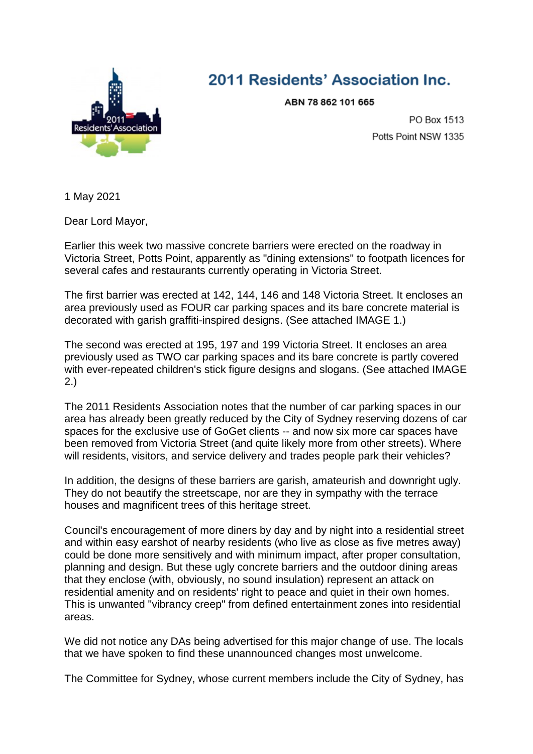

## 2011 Residents' Association Inc.

ABN 78 862 101 665

PO Box 1513 Potts Point NSW 1335

1 May 2021

Dear Lord Mayor,

Earlier this week two massive concrete barriers were erected on the roadway in Victoria Street, Potts Point, apparently as "dining extensions" to footpath licences for several cafes and restaurants currently operating in Victoria Street.

The first barrier was erected at 142, 144, 146 and 148 Victoria Street. It encloses an area previously used as FOUR car parking spaces and its bare concrete material is decorated with garish graffiti-inspired designs. (See attached IMAGE 1.)

The second was erected at 195, 197 and 199 Victoria Street. It encloses an area previously used as TWO car parking spaces and its bare concrete is partly covered with ever-repeated children's stick figure designs and slogans. (See attached IMAGE 2.)

The 2011 Residents Association notes that the number of car parking spaces in our area has already been greatly reduced by the City of Sydney reserving dozens of car spaces for the exclusive use of GoGet clients -- and now six more car spaces have been removed from Victoria Street (and quite likely more from other streets). Where will residents, visitors, and service delivery and trades people park their vehicles?

In addition, the designs of these barriers are garish, amateurish and downright ugly. They do not beautify the streetscape, nor are they in sympathy with the terrace houses and magnificent trees of this heritage street.

Council's encouragement of more diners by day and by night into a residential street and within easy earshot of nearby residents (who live as close as five metres away) could be done more sensitively and with minimum impact, after proper consultation, planning and design. But these ugly concrete barriers and the outdoor dining areas that they enclose (with, obviously, no sound insulation) represent an attack on residential amenity and on residents' right to peace and quiet in their own homes. This is unwanted "vibrancy creep" from defined entertainment zones into residential areas.

We did not notice any DAs being advertised for this major change of use. The locals that we have spoken to find these unannounced changes most unwelcome.

The Committee for Sydney, whose current members include the City of Sydney, has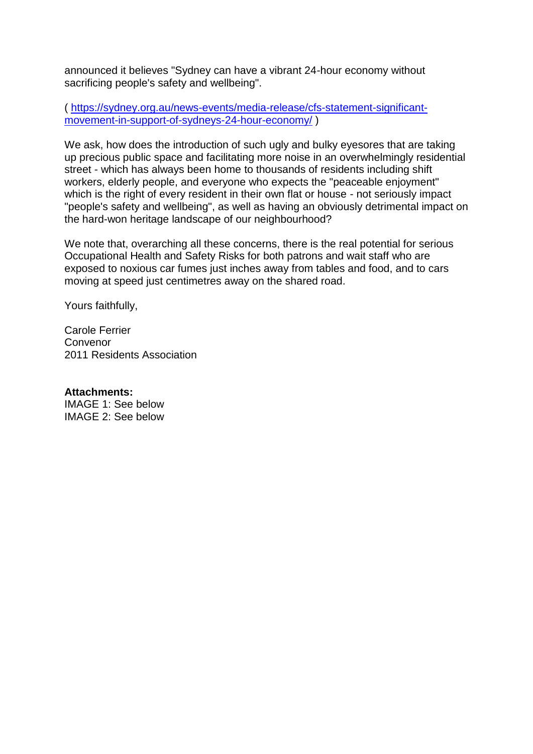announced it believes "Sydney can have a vibrant 24-hour economy without sacrificing people's safety and wellbeing".

( [https://sydney.org.au/news-events/media-release/cfs-statement-significant](https://sydney.org.au/news-events/media-release/cfs-statement-significant-movement-in-support-of-sydneys-24-hour-economy/)[movement-in-support-of-sydneys-24-hour-economy/](https://sydney.org.au/news-events/media-release/cfs-statement-significant-movement-in-support-of-sydneys-24-hour-economy/) )

We ask, how does the introduction of such ugly and bulky eyesores that are taking up precious public space and facilitating more noise in an overwhelmingly residential street - which has always been home to thousands of residents including shift workers, elderly people, and everyone who expects the "peaceable enjoyment" which is the right of every resident in their own flat or house - not seriously impact "people's safety and wellbeing", as well as having an obviously detrimental impact on the hard-won heritage landscape of our neighbourhood?

We note that, overarching all these concerns, there is the real potential for serious Occupational Health and Safety Risks for both patrons and wait staff who are exposed to noxious car fumes just inches away from tables and food, and to cars moving at speed just centimetres away on the shared road.

Yours faithfully,

Carole Ferrier Convenor 2011 Residents Association

**Attachments:** IMAGE 1: See below IMAGE 2: See below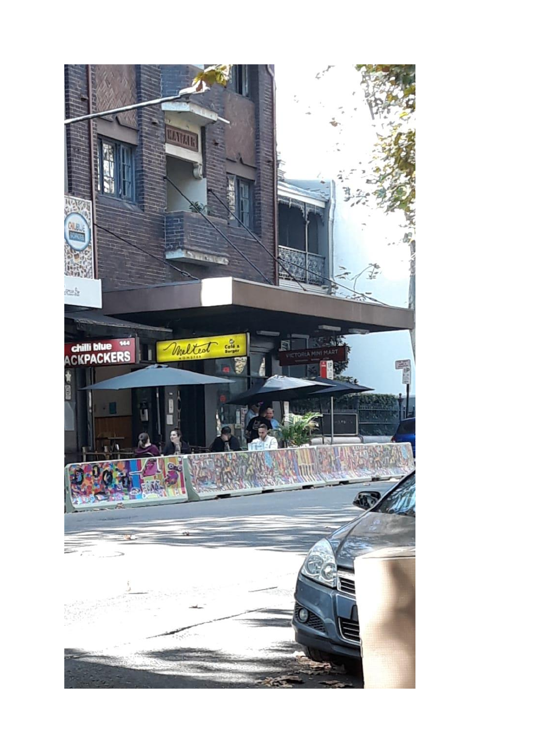